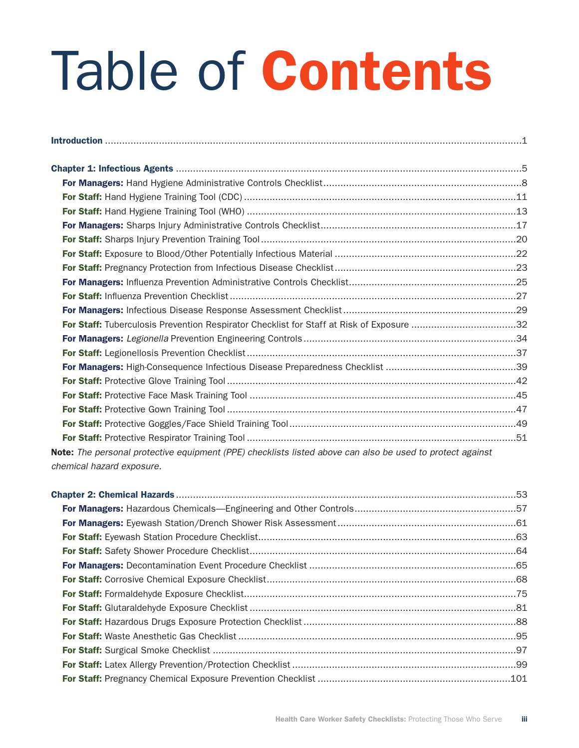## Table of Contents

| For Staff: Tuberculosis Prevention Respirator Checklist for Staff at Risk of Exposure 32                  |  |
|-----------------------------------------------------------------------------------------------------------|--|
|                                                                                                           |  |
|                                                                                                           |  |
|                                                                                                           |  |
|                                                                                                           |  |
|                                                                                                           |  |
|                                                                                                           |  |
|                                                                                                           |  |
|                                                                                                           |  |
| Note: The personal protective equipment (PPE) checklists listed above can also be used to protect against |  |
| chemical hazard exposure.                                                                                 |  |